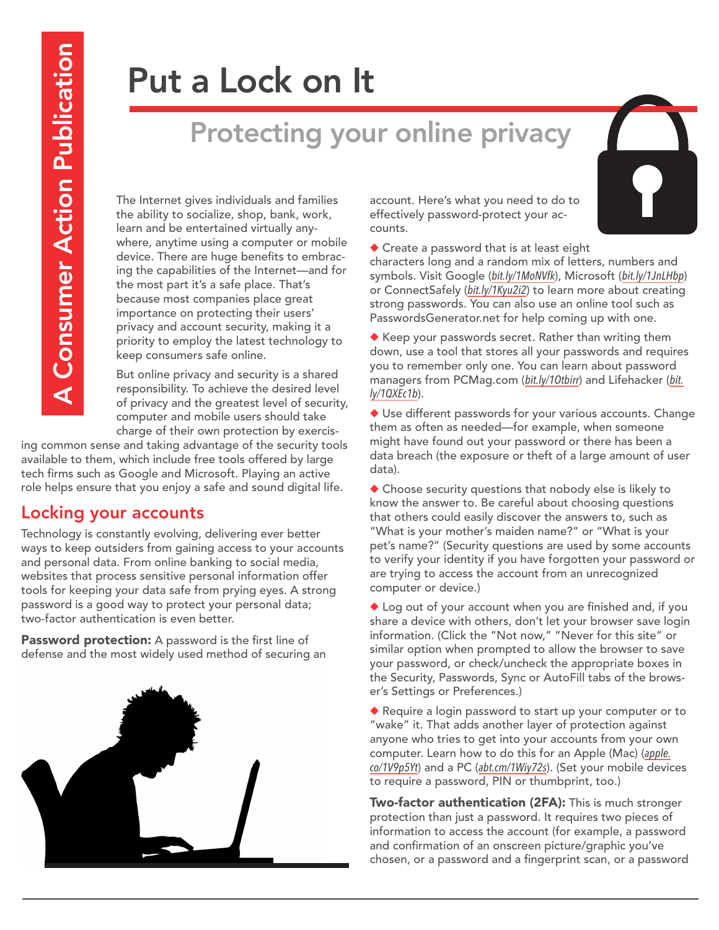# Put a Lock on It

## Protecting your online privacy

The Internet gives individuals and families the ability to socialize, shop, bank, work, learn and be entertained virtually anywhere, anytime using a computer or mobile device. There are huge benefits to embracing the capabilities of the Internet—and for the most part it's a safe place. That's because most companies place great importance on protecting their users' privacy and account security, making it a priority to employ the latest technology to keep consumers safe online.

But online privacy and security is a shared responsibility. To achieve the desired level of privacy and the greatest level of security, computer and mobile users should take charge of their own protection by exercis-

ing common sense and taking advantage of the security tools available to them, which include free tools offered by large tech firms such as Google and Microsoft. Playing an active role helps ensure that you enjoy a safe and sound digital life.

#### Locking your accounts

Technology is constantly evolving, delivering ever better ways to keep outsiders from gaining access to your accounts and personal data. From online banking to social media, websites that process sensitive personal information offer tools for keeping your data safe from prying eyes. A strong password is a good way to protect your personal data; two-factor authentication is even better.

Password protection: A password is the first line of defense and the most widely used method of securing an



account. Here's what you need to do to effectively password-protect your accounts.

 $\triangle$  Create a password that is at least eight

characters long and a random mix of letters, numbers and symbols. Visit Google (*[bit.ly/1MoNVfk](http://bit.ly/1MoNVfk)*), Microsoft (*[bit.ly/1JnLHbp](http://bit.ly/1JnLHbp)*) or ConnectSafely (*[bit.ly/1Kyu2i2](http://bit.ly/1Kyu2i2)*) to learn more about creating strong passwords. You can also use an online tool such as PasswordsGenerator.net for help coming up with one.

 $\blacklozenge$  Keep your passwords secret. Rather than writing them down, use a tool that stores all your passwords and requires you to remember only one. You can learn about password managers from PCMag.com (*[bit.ly/1Otbirr](http://bit.ly/1Otbirr)*) and Lifehacker (*[bit.](http://bit.ly/1QXEc1b) [ly/1QXEc1b](http://bit.ly/1QXEc1b)*).

 $\blacklozenge$  Use different passwords for your various accounts. Change them as often as needed—for example, when someone might have found out your password or there has been a data breach (the exposure or theft of a large amount of user data).

 $\blacklozenge$  Choose security questions that nobody else is likely to know the answer to. Be careful about choosing questions that others could easily discover the answers to, such as "What is your mother's maiden name?" or "What is your pet's name?" (Security questions are used by some accounts to verify your identity if you have forgotten your password or are trying to access the account from an unrecognized computer or device.)

 $\blacklozenge$  Log out of your account when you are finished and, if you share a device with others, don't let your browser save login information. (Click the "Not now," "Never for this site" or similar option when prompted to allow the browser to save your password, or check/uncheck the appropriate boxes in the Security, Passwords, Sync or AutoFill tabs of the browser's Settings or Preferences.)

Require a login password to start up your computer or to "wake" it. That adds another layer of protection against anyone who tries to get into your accounts from your own computer. Learn how to do this for an Apple (Mac) (*[apple.](http://apple.co/1V9p5Yt) [co/1V9p5Yt](http://apple.co/1V9p5Yt)*) and a PC (*[abt.cm/1Wiy72s](http://abt.cm/1Wiy72s)*). (Set your mobile devices to require a password, PIN or thumbprint, too.)

Two-factor authentication (2FA): This is much stronger protection than just a password. It requires two pieces of information to access the account (for example, a password and confirmation of an onscreen picture/graphic you've chosen, or a password and a fingerprint scan, or a password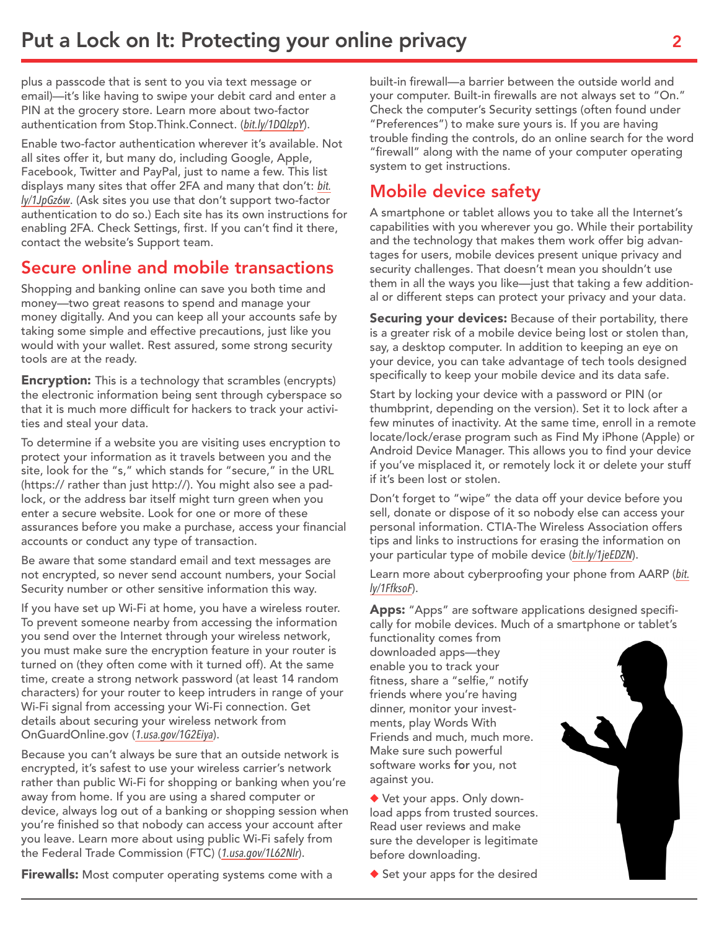plus a passcode that is sent to you via text message or email)—it's like having to swipe your debit card and enter a PIN at the grocery store. Learn more about two-factor authentication from Stop.Think.Connect. (*[bit.ly/1DQlzpY](http://bit.ly/1DQlzpY)*).

Enable two-factor authentication wherever it's available. Not all sites offer it, but many do, including Google, Apple, Facebook, Twitter and PayPal, just to name a few. This list displays many sites that offer 2FA and many that don't: *[bit.](http://bit.ly/1JpGz6w) [ly/1JpGz6w](http://bit.ly/1JpGz6w)*. (Ask sites you use that don't support two-factor authentication to do so.) Each site has its own instructions for enabling 2FA. Check Settings, first. If you can't find it there, contact the website's Support team.

#### Secure online and mobile transactions

Shopping and banking online can save you both time and money—two great reasons to spend and manage your money digitally. And you can keep all your accounts safe by taking some simple and effective precautions, just like you would with your wallet. Rest assured, some strong security tools are at the ready.

**Encryption:** This is a technology that scrambles (encrypts) the electronic information being sent through cyberspace so that it is much more difficult for hackers to track your activities and steal your data.

To determine if a website you are visiting uses encryption to protect your information as it travels between you and the site, look for the "s," which stands for "secure," in the URL (https:// rather than just http://). You might also see a padlock, or the address bar itself might turn green when you enter a secure website. Look for one or more of these assurances before you make a purchase, access your financial accounts or conduct any type of transaction.

Be aware that some standard email and text messages are not encrypted, so never send account numbers, your Social Security number or other sensitive information this way.

If you have set up Wi-Fi at home, you have a wireless router. To prevent someone nearby from accessing the information you send over the Internet through your wireless network, you must make sure the encryption feature in your router is turned on (they often come with it turned off). At the same time, create a strong network password (at least 14 random characters) for your router to keep intruders in range of your Wi-Fi signal from accessing your Wi-Fi connection. Get details about securing your wireless network from OnGuardOnline.gov (*[1.usa.gov/1G2Eiya](http://1.usa.gov/1G2Eiya)*).

Because you can't always be sure that an outside network is encrypted, it's safest to use your wireless carrier's network rather than public Wi-Fi for shopping or banking when you're away from home. If you are using a shared computer or device, always log out of a banking or shopping session when you're finished so that nobody can access your account after you leave. Learn more about using public Wi-Fi safely from the Federal Trade Commission (FTC) (*[1.usa.gov/1L62Nlr](http://1.usa.gov/1L62Nlr)*).

**Firewalls:** Most computer operating systems come with a

built-in firewall—a barrier between the outside world and your computer. Built-in firewalls are not always set to "On." Check the computer's Security settings (often found under "Preferences") to make sure yours is. If you are having trouble finding the controls, do an online search for the word "firewall" along with the name of your computer operating system to get instructions.

#### Mobile device safety

A smartphone or tablet allows you to take all the Internet's capabilities with you wherever you go. While their portability and the technology that makes them work offer big advantages for users, mobile devices present unique privacy and security challenges. That doesn't mean you shouldn't use them in all the ways you like—just that taking a few additional or different steps can protect your privacy and your data.

Securing your devices: Because of their portability, there is a greater risk of a mobile device being lost or stolen than, say, a desktop computer. In addition to keeping an eye on your device, you can take advantage of tech tools designed specifically to keep your mobile device and its data safe.

Start by locking your device with a password or PIN (or thumbprint, depending on the version). Set it to lock after a few minutes of inactivity. At the same time, enroll in a remote locate/lock/erase program such as Find My iPhone (Apple) or Android Device Manager. This allows you to find your device if you've misplaced it, or remotely lock it or delete your stuff if it's been lost or stolen.

Don't forget to "wipe" the data off your device before you sell, donate or dispose of it so nobody else can access your personal information. CTIA-The Wireless Association offers tips and links to instructions for erasing the information on your particular type of mobile device (*[bit.ly/1jeEDZN](http://bit.ly/1jeEDZN)*).

Learn more about cyberproofing your phone from AARP (*[bit.](http://bit.ly/1FfksoF) [ly/1FfksoF](http://bit.ly/1FfksoF)*).

Apps: "Apps" are software applications designed specifically for mobile devices. Much of a smartphone or tablet's

functionality comes from downloaded apps—they enable you to track your fitness, share a "selfie," notify friends where you're having dinner, monitor your investments, play Words With Friends and much, much more. Make sure such powerful software works for you, not against you.

Vet your apps. Only download apps from trusted sources. Read user reviews and make sure the developer is legitimate before downloading.

 $\blacklozenge$  Set your apps for the desired

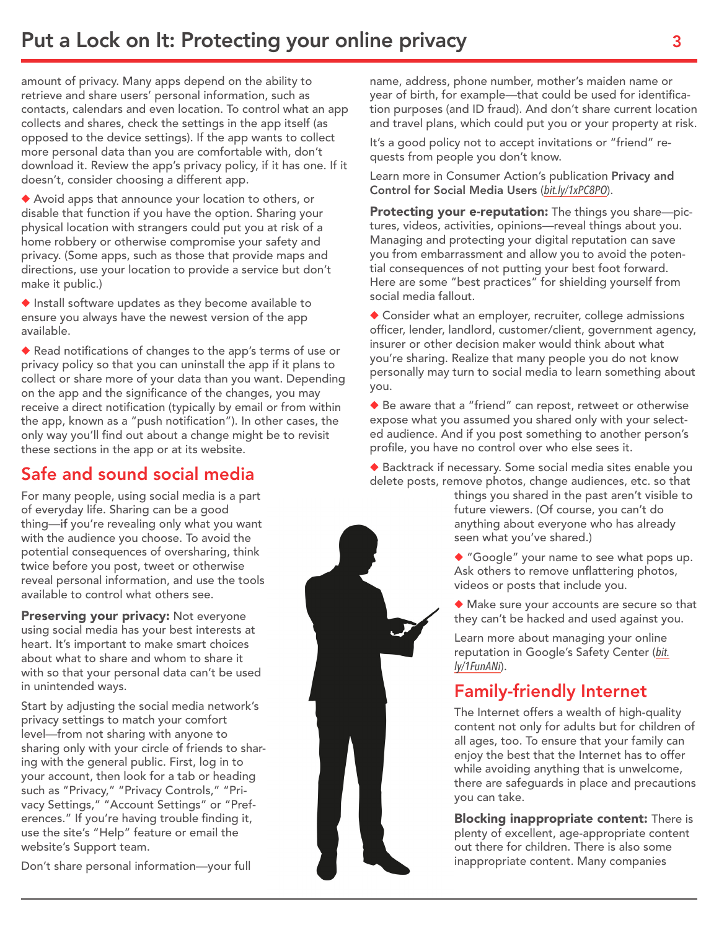amount of privacy. Many apps depend on the ability to retrieve and share users' personal information, such as contacts, calendars and even location. To control what an app collects and shares, check the settings in the app itself (as opposed to the device settings). If the app wants to collect more personal data than you are comfortable with, don't download it. Review the app's privacy policy, if it has one. If it doesn't, consider choosing a different app.

◆ Avoid apps that announce your location to others, or disable that function if you have the option. Sharing your physical location with strangers could put you at risk of a home robbery or otherwise compromise your safety and privacy. (Some apps, such as those that provide maps and directions, use your location to provide a service but don't make it public.)

 $\blacklozenge$  Install software updates as they become available to ensure you always have the newest version of the app available.

◆ Read notifications of changes to the app's terms of use or privacy policy so that you can uninstall the app if it plans to collect or share more of your data than you want. Depending on the app and the significance of the changes, you may receive a direct notification (typically by email or from within the app, known as a "push notification"). In other cases, the only way you'll find out about a change might be to revisit these sections in the app or at its website.

### Safe and sound social media

For many people, using social media is a part of everyday life. Sharing can be a good thing—if you're revealing only what you want with the audience you choose. To avoid the potential consequences of oversharing, think twice before you post, tweet or otherwise reveal personal information, and use the tools available to control what others see.

Preserving your privacy: Not everyone using social media has your best interests at heart. It's important to make smart choices about what to share and whom to share it with so that your personal data can't be used in unintended ways.

Start by adjusting the social media network's privacy settings to match your comfort level—from not sharing with anyone to sharing only with your circle of friends to sharing with the general public. First, log in to your account, then look for a tab or heading such as "Privacy," "Privacy Controls," "Privacy Settings," "Account Settings" or "Preferences." If you're having trouble finding it, use the site's "Help" feature or email the website's Support team.

Don't share personal information—your full

name, address, phone number, mother's maiden name or year of birth, for example—that could be used for identification purposes (and ID fraud). And don't share current location and travel plans, which could put you or your property at risk.

It's a good policy not to accept invitations or "friend" requests from people you don't know.

Learn more in Consumer Action's publication Privacy and Control for Social Media Users (*[bit.ly/1xPC8PO](http://bit.ly/1xPC8PO)*).

Protecting your e-reputation: The things you share-pictures, videos, activities, opinions—reveal things about you. Managing and protecting your digital reputation can save you from embarrassment and allow you to avoid the potential consequences of not putting your best foot forward. Here are some "best practices" for shielding yourself from social media fallout.

 $\blacklozenge$  Consider what an employer, recruiter, college admissions officer, lender, landlord, customer/client, government agency, insurer or other decision maker would think about what you're sharing. Realize that many people you do not know personally may turn to social media to learn something about you.

 $\blacklozenge$  Be aware that a "friend" can repost, retweet or otherwise expose what you assumed you shared only with your selected audience. And if you post something to another person's profile, you have no control over who else sees it.

◆ Backtrack if necessary. Some social media sites enable you delete posts, remove photos, change audiences, etc. so that

> things you shared in the past aren't visible to future viewers. (Of course, you can't do anything about everyone who has already seen what you've shared.)

> $\blacklozenge$  "Google" your name to see what pops up. Ask others to remove unflattering photos, videos or posts that include you.

 $\blacklozenge$  Make sure your accounts are secure so that they can't be hacked and used against you.

Learn more about managing your online reputation in Google's Safety Center (*[bit.](http://bit.ly/1FunANi) [ly/1FunANi](http://bit.ly/1FunANi)*).

### Family-friendly Internet

The Internet offers a wealth of high-quality content not only for adults but for children of all ages, too. To ensure that your family can enjoy the best that the Internet has to offer while avoiding anything that is unwelcome, there are safeguards in place and precautions you can take.

**Blocking inappropriate content:** There is plenty of excellent, age-appropriate content out there for children. There is also some inappropriate content. Many companies